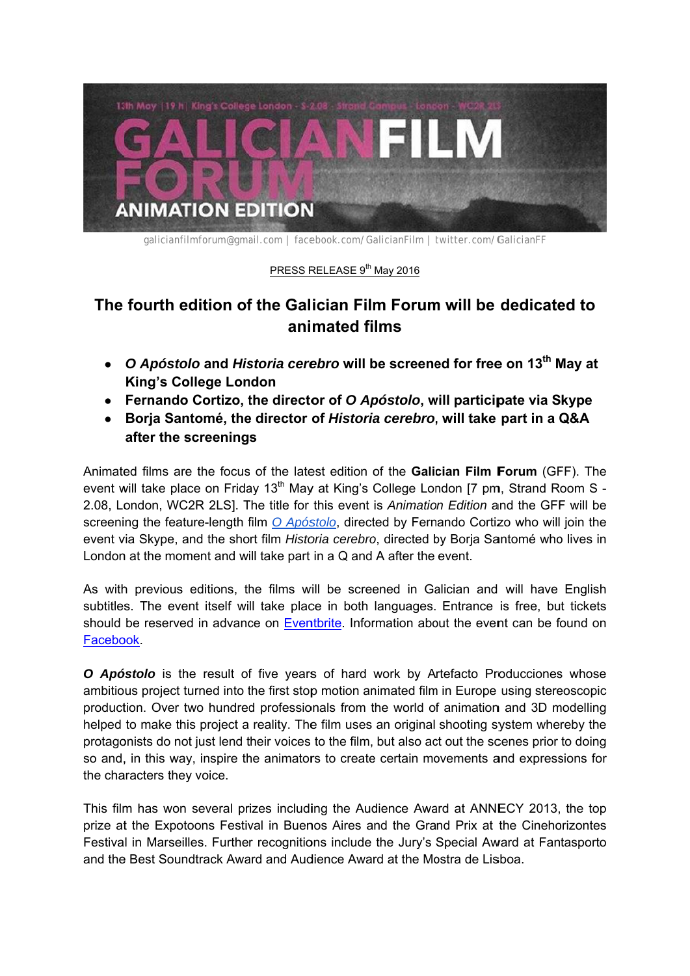

galicianfilmforum@gmail.com | facebook.com/GalicianFilm | twitter.com/GalicianFF

## PRESS RELEASE 9<sup>th</sup> May 2016

## The fourth edition of the Galician Film Forum will be dedicated to **ani mated fi lms**

- O Apóstolo and Historia cerebro will be screened for free on 13<sup>th</sup> May at **King's College London**
- **•** Fernando Cortizo, the director of O Apóstolo, will participate via Skype
- Borja Santomé, the director of Historia cerebro, will take part in a Q&A **after the s screening s**

Animated films are the focus of the latest edition of the Galician Film Forum (GFF). The event will take place on Friday 13<sup>th</sup> May at King's College London [7 pm, Strand Room S -2.08, London, WC2R 2LS]. The title for this event is *Animation Edition* and the GFF will be screening the feature-length film *O Apóstolo*, directed by Fernando Cortizo who will join the event via Skype, and the short film *Historia cerebro*, directed by Borja Santomé who lives in London at the moment and will take part in a Q and A after the event.

As with previous editions, the films will be screened in Galician and will have English subtitles. The event itself will take place in both languages. Entrance is free, but tickets should be reserved in advance on Eventbrite. Information about the event can be found on **Facebook** 

O Apóstolo is the result of five years of hard work by Artefacto Producciones whose ambitious project turned into the first stop motion animated film in Europe using stereoscopic production. Over two hundred professionals from the world of animation and 3D modelling helped to make this project a reality. The film uses an original shooting system whereby the protagonists do not just lend their voices to the film, but also act out the scenes prior to doing so and, in this way, inspire the animators to create certain movements and expressions for the cha aracters they y voice.

This film has won several prizes including the Audience Award at ANNECY 2013, the top prize at the Expotoons Festival in Buenos Aires and the Grand Prix at the Cinehorizontes Festival in Marseilles. Further recognitions include the Jury's Special Award at Fantasporto and the Best Soundtrack Award and Audience Award at the Mostra de Lisboa.